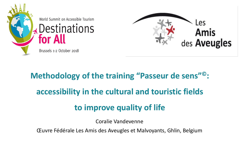



### **Methodology of the training "Passeur de sens" ©: accessibility in the cultural and touristic fields to improve quality of life**

Coralie Vandevenne

Œuvre Fédérale Les Amis des Aveugles et Malvoyants, Ghlin, Belgium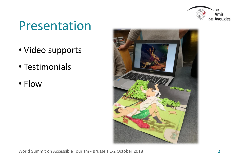

# Presentation

- Video supports
- Testimonials
- Flow



World Summit on Accessible Tourism - Brussels 1-2 October 2018 **2**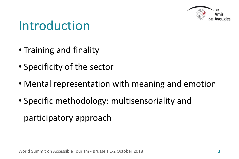

### Introduction

- Training and finality
- Specificity of the sector
- Mental representation with meaning and emotion
- Specific methodology: multisensoriality and participatory approach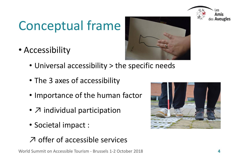# Conceptual frame

• Accessibility



- Universal accessibility > the specific needs
- The 3 axes of accessibility
- Importance of the human factor
- $\overline{Z}$  individual participation
- Societal impact :

#### ↗ offer of accessible services





Amis des **Aveugles**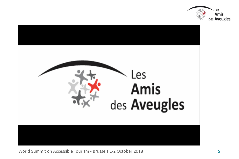

World Summit on Accessible Tourism - Brussels 1-2 October 2018 **5**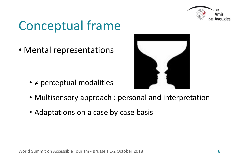

# Conceptual frame

• Mental representations

• ≠ perceptual modalities



- Multisensory approach : personal and interpretation
- Adaptations on a case by case basis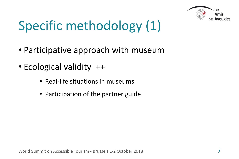

# Specific methodology (1)

- Participative approach with museum
- Ecological validity ++
	- Real-life situations in museums
	- Participation of the partner guide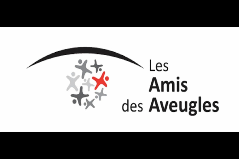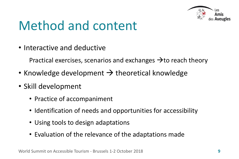

# Method and content

• Interactive and deductive

Practical exercises, scenarios and exchanges  $\rightarrow$  to reach theory

- Knowledge development  $\rightarrow$  theoretical knowledge
- Skill development
	- Practice of accompaniment
	- Identification of needs and opportunities for accessibility
	- Using tools to design adaptations
	- Evaluation of the relevance of the adaptations made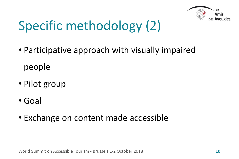

# Specific methodology (2)

- Participative approach with visually impaired people
- Pilot group
- Goal
- Exchange on content made accessible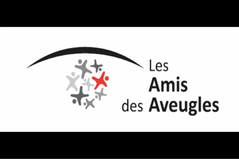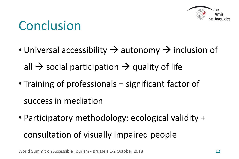

# Conclusion

• Universal accessibility  $\rightarrow$  autonomy  $\rightarrow$  inclusion of

all  $\rightarrow$  social participation  $\rightarrow$  quality of life

- Training of professionals = significant factor of success in mediation
- Participatory methodology: ecological validity +

#### consultation of visually impaired people